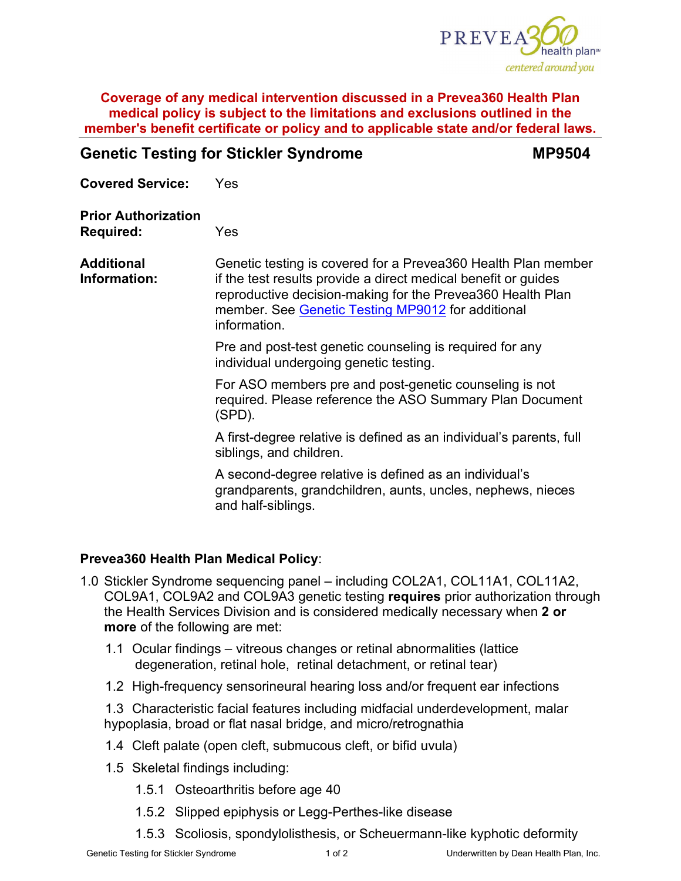

### **Coverage of any medical intervention discussed in a Prevea360 Health Plan medical policy is subject to the limitations and exclusions outlined in the member's benefit certificate or policy and to applicable state and/or federal laws.**

# **Genetic Testing for Stickler Syndrome MP9504 Covered Service:** Yes **Prior Authorization Required:** Yes **Additional Information:** Genetic testing is covered for a Prevea360 Health Plan member if the test results provide a direct medical benefit or guides reproductive decision-making for the Prevea360 Health Plan member. See [Genetic Testing MP9012](https://www.prevea360.com/DocumentLibrary/PDF/Medical-Policies/Genetic-Testing-9012) for additional information. Pre and post-test genetic counseling is required for any individual undergoing genetic testing. For ASO members pre and post-genetic counseling is not required. Please reference the ASO Summary Plan Document (SPD). A first-degree relative is defined as an individual's parents, full siblings, and children. A second-degree relative is defined as an individual's grandparents, grandchildren, aunts, uncles, nephews, nieces and half-siblings.

## **Prevea360 Health Plan Medical Policy**:

- 1.0 Stickler Syndrome sequencing panel including COL2A1, COL11A1, COL11A2, COL9A1, COL9A2 and COL9A3 genetic testing **requires** prior authorization through the Health Services Division and is considered medically necessary when **2 or more** of the following are met:
	- 1.1 Ocular findings vitreous changes or retinal abnormalities (lattice degeneration, retinal hole, retinal detachment, or retinal tear)
	- 1.2 High-frequency sensorineural hearing loss and/or frequent ear infections

1.3 Characteristic facial features including midfacial underdevelopment, malar hypoplasia, broad or flat nasal bridge, and micro/retrognathia

- 1.4 Cleft palate (open cleft, submucous cleft, or bifid uvula)
- 1.5 Skeletal findings including:
	- 1.5.1 Osteoarthritis before age 40
	- 1.5.2 Slipped epiphysis or Legg-Perthes-like disease
	- 1.5.3 Scoliosis, spondylolisthesis, or Scheuermann-like kyphotic deformity